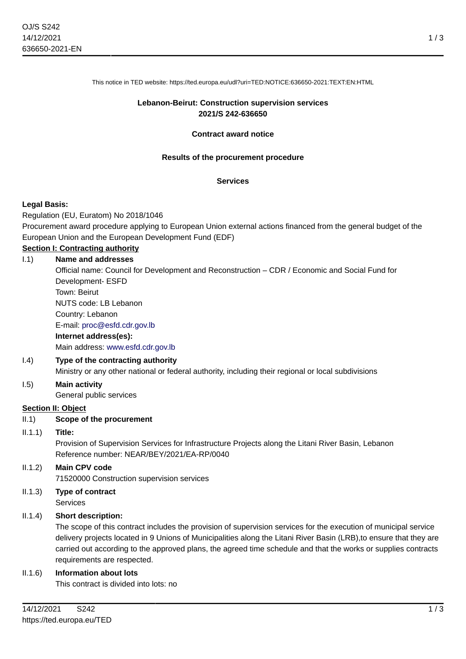This notice in TED website: https://ted.europa.eu/udl?uri=TED:NOTICE:636650-2021:TEXT:EN:HTML

### **Lebanon-Beirut: Construction supervision services 2021/S 242-636650**

### **Contract award notice**

### **Results of the procurement procedure**

#### **Services**

### **Legal Basis:**

Regulation (EU, Euratom) No 2018/1046

Procurement award procedure applying to European Union external actions financed from the general budget of the European Union and the European Development Fund (EDF)

# **Section I: Contracting authority**

# I.1) **Name and addresses** Official name: Council for Development and Reconstruction – CDR / Economic and Social Fund for Development- ESFD Town: Beirut NUTS code: LB Lebanon Country: Lebanon E-mail: [proc@esfd.cdr.gov.lb](mailto:proc@esfd.cdr.gov.lb) **Internet address(es):** Main address:<www.esfd.cdr.gov.lb>

### I.4) **Type of the contracting authority**

Ministry or any other national or federal authority, including their regional or local subdivisions

# I.5) **Main activity**

General public services

### **Section II: Object**

### II.1) **Scope of the procurement**

### II.1.1) **Title:**

Provision of Supervision Services for Infrastructure Projects along the Litani River Basin, Lebanon Reference number: NEAR/BEY/2021/EA-RP/0040

# II.1.2) **Main CPV code**

71520000 Construction supervision services

#### II.1.3) **Type of contract** Services

# II.1.4) **Short description:**

The scope of this contract includes the provision of supervision services for the execution of municipal service delivery projects located in 9 Unions of Municipalities along the Litani River Basin (LRB),to ensure that they are carried out according to the approved plans, the agreed time schedule and that the works or supplies contracts requirements are respected.

### II.1.6) **Information about lots**

This contract is divided into lots: no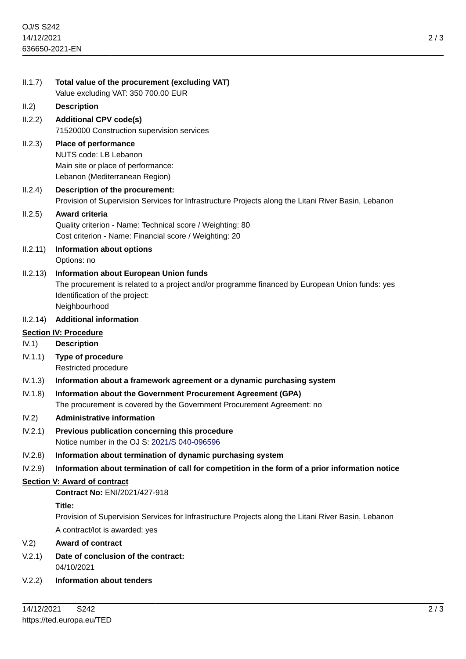| II.1.7)                      | Total value of the procurement (excluding VAT)<br>Value excluding VAT: 350 700.00 EUR                                                                                                              |
|------------------------------|----------------------------------------------------------------------------------------------------------------------------------------------------------------------------------------------------|
| II.2)                        | <b>Description</b>                                                                                                                                                                                 |
| II.2.2)                      | <b>Additional CPV code(s)</b>                                                                                                                                                                      |
|                              | 71520000 Construction supervision services                                                                                                                                                         |
| II.2.3)                      | Place of performance<br>NUTS code: LB Lebanon<br>Main site or place of performance:                                                                                                                |
|                              | Lebanon (Mediterranean Region)                                                                                                                                                                     |
| II.2.4)                      | Description of the procurement:<br>Provision of Supervision Services for Infrastructure Projects along the Litani River Basin, Lebanon                                                             |
| II.2.5)                      | <b>Award criteria</b><br>Quality criterion - Name: Technical score / Weighting: 80<br>Cost criterion - Name: Financial score / Weighting: 20                                                       |
| II.2.11)                     | <b>Information about options</b><br>Options: no                                                                                                                                                    |
| II.2.13)                     | <b>Information about European Union funds</b><br>The procurement is related to a project and/or programme financed by European Union funds: yes<br>Identification of the project:<br>Neighbourhood |
| II.2.14)                     | <b>Additional information</b>                                                                                                                                                                      |
| <b>Section IV: Procedure</b> |                                                                                                                                                                                                    |
| IV.1)                        | <b>Description</b>                                                                                                                                                                                 |
| IV.1.1)                      | Type of procedure<br>Restricted procedure                                                                                                                                                          |
| IV.1.3)                      | Information about a framework agreement or a dynamic purchasing system                                                                                                                             |
| IV.1.8)                      | Information about the Government Procurement Agreement (GPA)<br>The procurement is covered by the Government Procurement Agreement: no                                                             |
| IV.2)                        | <b>Administrative information</b>                                                                                                                                                                  |
| IV.2.1)                      | Previous publication concerning this procedure<br>Notice number in the OJ S: 2021/S 040-096596                                                                                                     |
| IV.2.8)                      | Information about termination of dynamic purchasing system                                                                                                                                         |
| IV.2.9)                      | Information about termination of call for competition in the form of a prior information notice                                                                                                    |
|                              | Section V: Award of contract                                                                                                                                                                       |
|                              | <b>Contract No: ENI/2021/427-918</b>                                                                                                                                                               |
|                              | Title:<br>Provision of Supervision Services for Infrastructure Projects along the Litani River Basin, Lebanon                                                                                      |
|                              | A contract/lot is awarded: yes                                                                                                                                                                     |
| V.2)                         | <b>Award of contract</b>                                                                                                                                                                           |
| V.2.1)                       | Date of conclusion of the contract:<br>04/10/2021                                                                                                                                                  |
|                              |                                                                                                                                                                                                    |

V.2.2) **Information about tenders**